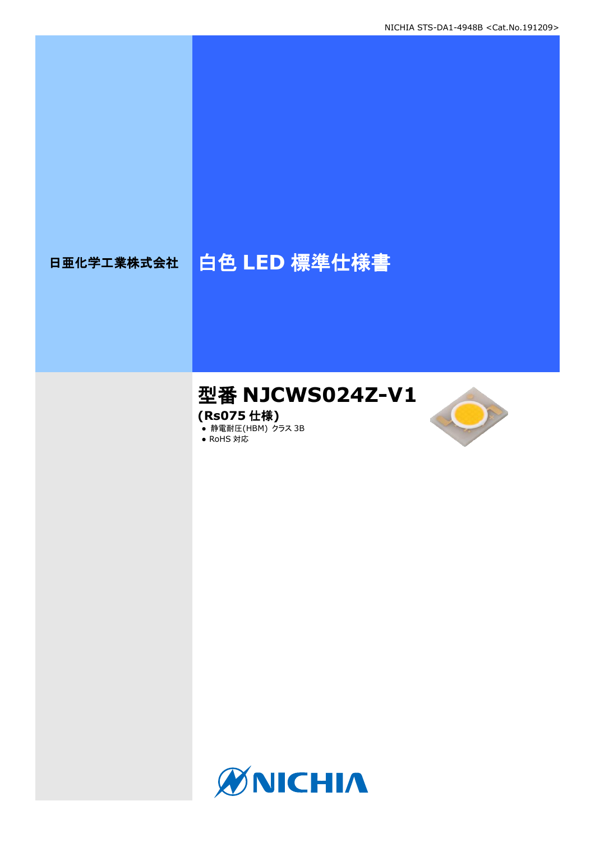# 日亜化学工業株式会社 | 白色 LED 標準仕様書

# 型番 **NJCWS024Z-V1**

**(Rs075** 仕様**)**

**● 静電耐圧(HBM) クラス 3B** 





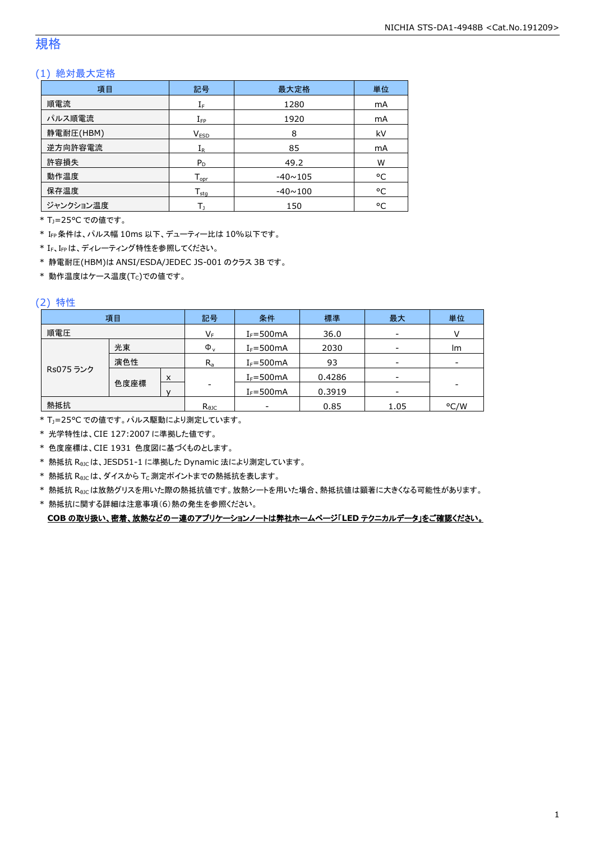### 規格

### (1) 絶対最大定格

| 項目        | 最大定格<br>記号                                     |                | 単位 |
|-----------|------------------------------------------------|----------------|----|
| 順電流       | $\mathrm{I}_\mathrm{F}$                        | 1280           | mA |
| パルス順電流    | $I_{\text{FP}}$                                | 1920           | mA |
| 静電耐圧(HBM) | V <sub>ESD</sub>                               | 8              | kV |
| 逆方向許容電流   | $I_{R}$                                        | 85             | mA |
| 許容損失      | $P_D$                                          | 49.2           | W  |
| 動作温度      | ${\mathsf T}_{\textsf{opr}}$                   | $-40 \sim 105$ | °C |
| 保存温度      | ${\mathsf T}_{\textsf{stq}}$<br>$-40 \sim 100$ |                | °C |
| ジャンクション温度 |                                                | 150            | °C |

\* TJ=25°C での値です。

\* IFP条件は、パルス幅 10ms 以下、デューティー比は 10%以下です。

\* IF、IFPは、ディレーティング特性を参照してください。

\* 静電耐圧(HBM)は ANSI/ESDA/JEDEC JS-001 のクラス 3B です。

 $*$ 動作温度はケース温度(Tc)での値です。

### (2) 特性

|           | 項目   |   | 記号             | 条件                       | 標準     | 最大                       | 単位                       |
|-----------|------|---|----------------|--------------------------|--------|--------------------------|--------------------------|
| 順電圧       |      |   | $V_F$          | $I_F = 500mA$            | 36.0   | $\overline{\phantom{a}}$ |                          |
|           | 光束   |   | $\Phi_{\rm v}$ | $I_F = 500mA$            | 2030   | $\overline{\phantom{a}}$ | lm                       |
|           | 演色性  |   | $R_{a}$        | $I_F = 500mA$            | 93     | $\overline{\phantom{a}}$ | $\overline{\phantom{0}}$ |
| Rs075 ランク |      | X |                | $I_F = 500mA$            | 0.4286 | $\overline{\phantom{0}}$ |                          |
|           | 色度座標 |   | -              | $I_F = 500mA$            | 0.3919 | $\overline{\phantom{a}}$ | ۰                        |
| 熱抵抗       |      |   | $R_{\theta$ JC | $\overline{\phantom{a}}$ | 0.85   | 1.05                     | °C/W                     |

\* TJ=25°C での値です。パルス駆動により測定しています。

\* 光学特性は、CIE 127:2007 に準拠した値です。

\* 色度座標は、CIE 1931 色度図に基づくものとします。

\* 熱抵抗 RθJCは、JESD51-1 に準拠した Dynamic 法により測定しています。

 $*$  熱抵抗  $R_{\rm \theta JC}$ は、ダイスから Tc 測定ポイントまでの熱抵抗を表します。

\* 熱抵抗 R<sub>9JC</sub>は放熱グリスを用いた際の熱抵抗値です。放熱シートを用いた場合、熱抵抗値は顕著に大きくなる可能性があります。

\* 熱抵抗に関する詳細は注意事項(6)熱の発生を参照ください。

**COB** の取り扱い、密着、放熱などの一連のアプリケーションノートは弊社ホームページ「**LED** テクニカルデータ」をご確認ください。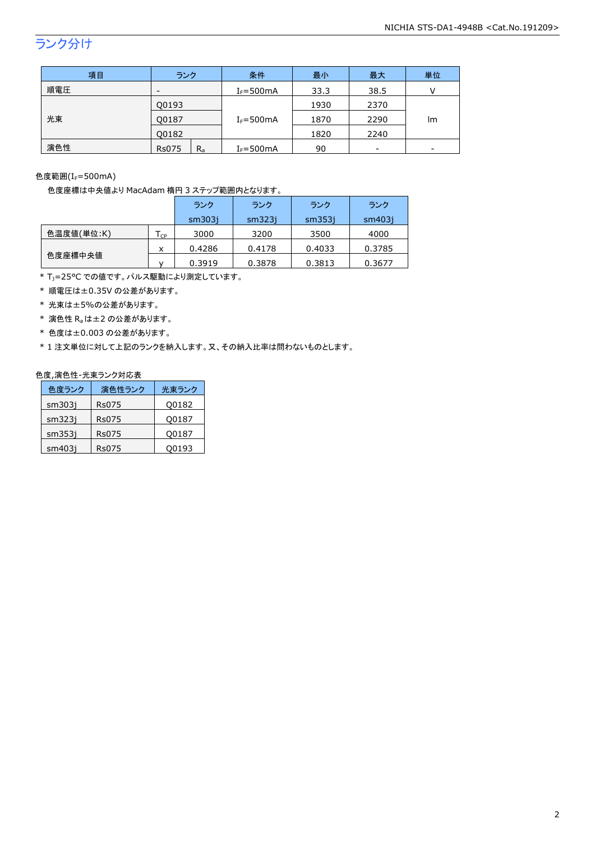# ランク分け

| 項目  | ランク                      | 条件            | 最小   | 最大   | 単位                       |
|-----|--------------------------|---------------|------|------|--------------------------|
| 順電圧 | $\overline{\phantom{0}}$ | $I_F = 500mA$ | 33.3 | 38.5 |                          |
|     | Q0193                    |               | 1930 | 2370 |                          |
| 光束  | Q0187                    | $I_F = 500mA$ | 1870 | 2290 | lm                       |
|     | 00182                    |               | 1820 | 2240 |                          |
| 演色性 | $R_{a}$<br><b>Rs075</b>  | $I_F = 500mA$ | 90   | -    | $\overline{\phantom{0}}$ |

色度範囲(IF=500mA)

色度座標は中央値より MacAdam 楕円 3 ステップ範囲内となります。

|            |    | ランク    | ランク    | ランク    | ランク    |
|------------|----|--------|--------|--------|--------|
|            |    | sm303i | sm323i | sm353i | sm403i |
| 色温度値(単位:K) | CP | 3000   | 3200   | 3500   | 4000   |
|            | x  | 0.4286 | 0.4178 | 0.4033 | 0.3785 |
| 色度座標中央値    |    | 0.3919 | 0.3878 | 0.3813 | 0.3677 |

\* T<sub>J</sub>=25°C での値です。パルス駆動により測定しています。

\* 順電圧は±0.35V の公差があります。

\* 光束は±5%の公差があります。

 $*$  演色性  $R_a$ は±2 の公差があります。

\* 色度は±0.003 の公差があります。

\* 1 注文単位に対して上記のランクを納入します。又、その納入比率は問わないものとします。

#### 色度,演色性-光束ランク対応表

| 色度ランク  | 演色性ランク | 光東ランク |
|--------|--------|-------|
| sm303i | Rs075  | Q0182 |
| sm323i | Rs075  | Q0187 |
| sm353i | Rs075  | Q0187 |
| sm403i | Rs075  | Q0193 |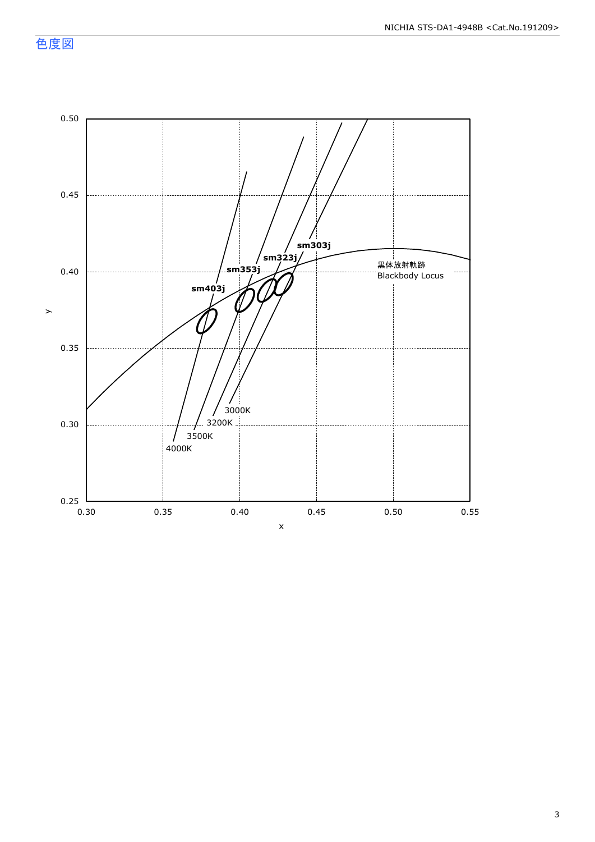色度図

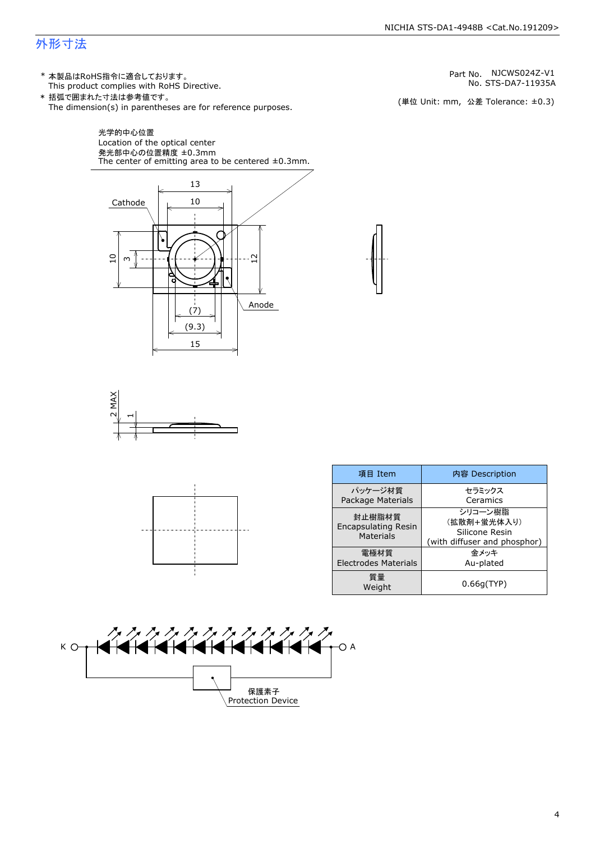### 外形寸法

(単位 Unit: mm) This product complies with RoHS Directive. \* 本製品はRoHS指令に適合しております。 (単位 Unit: mm, 公差 Tolerance: ±0.3) STS-DA7-11935A NJCWS024Z-V1 The dimension(s) in parentheses are for reference purposes. \* 括弧で囲まれた寸法は参考値です。 No. Part No.







| 項目 Item                                           | 内容 Description                                                           |
|---------------------------------------------------|--------------------------------------------------------------------------|
| パッケージ材質<br>Package Materials                      | セラミックス<br>Ceramics                                                       |
| 封止樹脂材質<br><b>Encapsulating Resin</b><br>Materials | シリコーン樹脂<br>(拡散剤+蛍光体入り)<br>Silicone Resin<br>(with diffuser and phosphor) |
| 電極材質<br><b>Electrodes Materials</b>               | 金メッキ<br>Au-plated                                                        |
| 質量<br>Weight                                      | 0.66q(TYP)                                                               |



4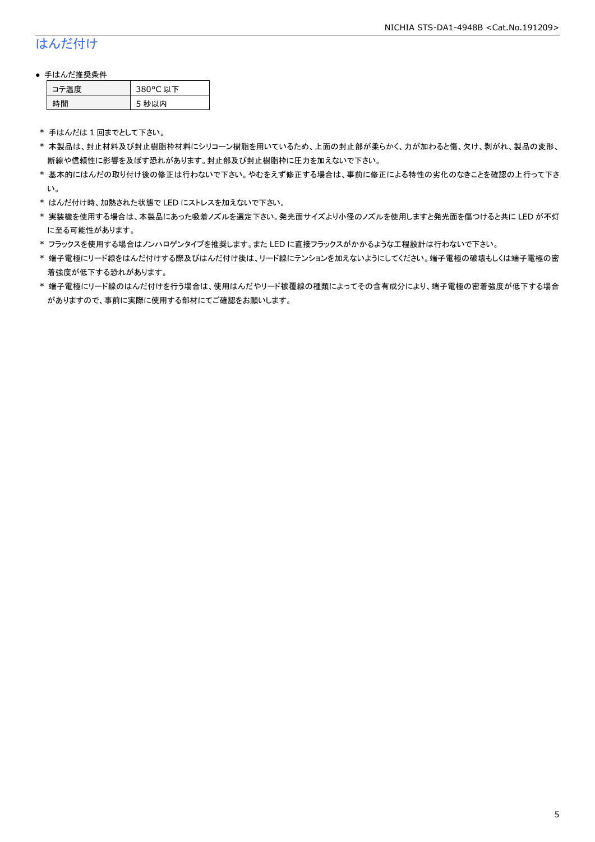# はんだ付け

### ● 手はんだ推奨条件

| →"烏庫」 | 380°C 以下 |
|-------|----------|
| .間    | 5 秒以内    |

\* 手はんだは 1 回までとして下さい。

- \* 本製品は、封止材料及び封止樹脂枠材料にシリコーン樹脂を用いているため、上面の封止部が柔らかく、力が加わると傷、欠け、剥がれ、製品の変形、 断線や信頼性に影響を及ぼす恐れがあります。封止部及び封止樹脂枠に圧力を加えないで下さい。
- \* 基本的にはんだの取り付け後の修正は行わないで下さい。やむをえず修正する場合は、事前に修正による特性の劣化のなきことを確認の上行って下さ い。
- \* はんだ付け時、加熱された状態で LED にストレスを加えないで下さい。
- \* 実装機を使用する場合は、本製品にあった吸着ノズルを選定下さい。発光面サイズより小径のノズルを使用しますと発光面を傷つけると共に LED が不灯 に至る可能性があります。
- \* フラックスを使用する場合はノンハロゲンタイプを推奨します。また LED に直接フラックスがかかるような工程設計は行わないで下さい。
- \* 端子電極にリード線をはんだ付けする際及びはんだ付け後は、リード線にテンションを加えないようにしてください。端子電極の破壊もしくは端子電極の密 着強度が低下する恐れがあります。
- \* 端子電極にリード線のはんだ付けを行う場合は、使用はんだやリード被覆線の種類によってその含有成分により、端子電極の密着強度が低下する場合 がありますので、事前に実際に使用する部材にてご確認をお願いします。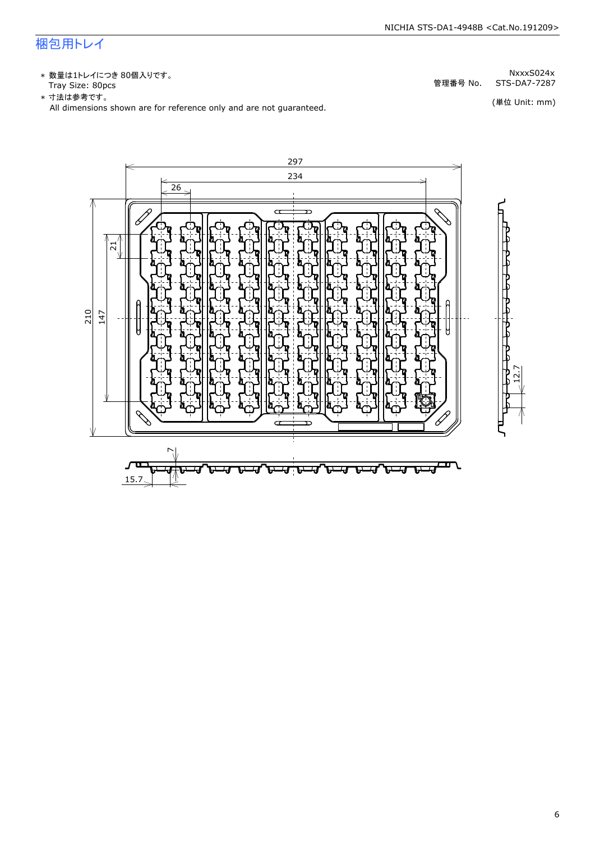# 梱包用トレイ

\* 数量は1トレイにつき 80個入りです。<br>Tray Size: 80pcs

\* 数量は1トレイにつき 80個入りです。<br>Tray Size: 80pcs<br>\* 寸法は参考です。<br>All dimensions shown are for reference only and are not guaranteed. \* づ法は参考です。 (単位 Unit: mm)

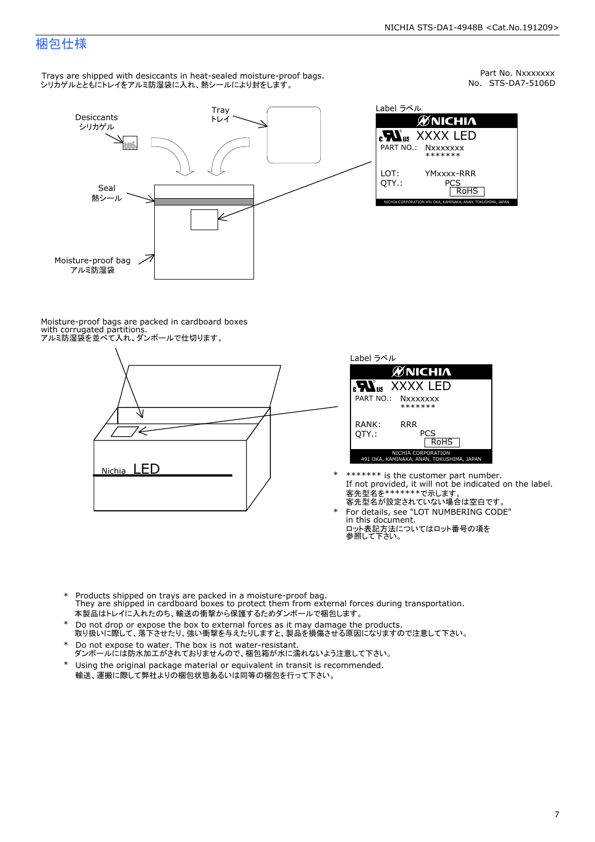Part No. Nxxxxxxx<br>No. STS-DA7-5106D

### 梱包仕様

Trays are shipped with desiccants in heat-sealed moisture-proof bags. シリカゲルとともにトレイをアルミ防湿袋に入れ、熱シールにより封をします。



Label ラベル  $\mathscr{U}$ NICHIA  $\begin{array}{lll} \text{cN}_{\text{us}} & \text{XXXX} & \text{LED} \\ \text{part no.:} & \text{Nxxxxxxx} \\ \text{LOT:} & \text{YMxxxx-RRR} \\ \text{QTY.:} & & \text{PCS} \\ \hline & \text{ROHS} \end{array}$ NICHIA CORPORATION <sup>491</sup> OKA, KAMINAKA, ANAN, TOKUSHIMA, JAPAN LOT: QTY.: YMxxxx-RRR PCS PART NO.:

Moisture-proof bags are packed in cardboard boxes with corrugated partitions. アルミ防湿袋を並べて入れ、ダンボールで仕切ります。





- \* \*\*\*\*\*\*\* is the customer part number.<br>If not provided, it will not be indicated on the label.<br>客先型名が設定されていない場合は空白です。
- For details, see "LOT NUMBERING CODE"<br>in this document.<br>ロット表記方法についてはロット番号の項を<br>参照して下さい。
- \* Products shipped on trays are packed in a moisture-proof bag.<br>They are shipped in cardboard boxes to protect them from external forces during transportation.<br>本製品はトレイに入れたのち、輸送の衝撃から保護するためダンボールで梱包します。<br>\* Do not drop or exp 本製品はトレイに入れたのち、輸送の衝撃から保護するためダンボールで梱包します。
- Do not drop or expose the box to external forces as it may damage the products. \*
- 取り扱いに際して、落下させたり、強い衝撃を与えたりしますと、製品を損傷させる原因になりますので注意して下さい。 Do not expose to water. The box is not water-resistant. \*
- ダンボールには防水加工がされておりませんので、梱包箱が水に濡れないよう注意して下さい。 \*
- 輸送、運搬に際して弊社よりの梱包状態あるいは同等の梱包を行って下さい。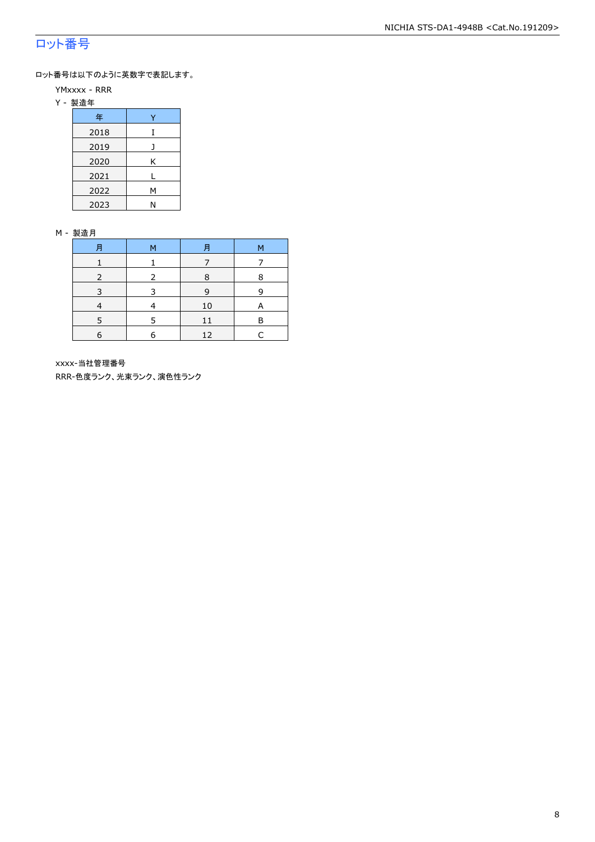## ロット番号

ロット番号は以下のように英数字で表記します。

- YMxxxx RRR
- Y 製造年

| 年    |   |  |  |  |
|------|---|--|--|--|
| 2018 | I |  |  |  |
| 2019 |   |  |  |  |
| 2020 | Κ |  |  |  |
| 2021 |   |  |  |  |
| 2022 | М |  |  |  |
| 2023 | N |  |  |  |

### M - 製造月

| 月 | м | 月  | М |
|---|---|----|---|
|   |   |    |   |
|   |   | 8  | 8 |
|   |   | 9  | q |
|   |   | 10 | A |
|   |   |    | F |
| 6 | F | 12 |   |

xxxx-当社管理番号

RRR-色度ランク、光束ランク、演色性ランク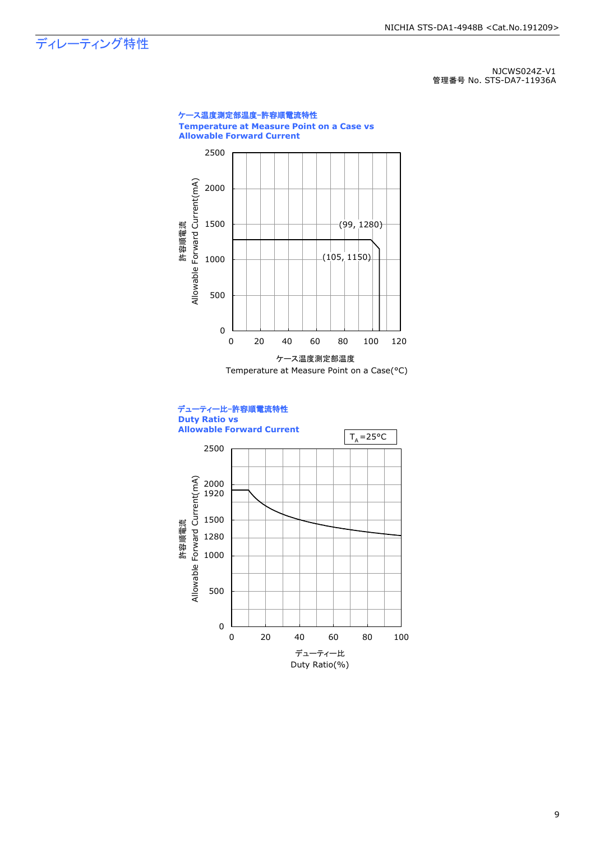ディレーティング特性

NJCWS024Z-V1 管理番号 No. STS-DA7-11936A

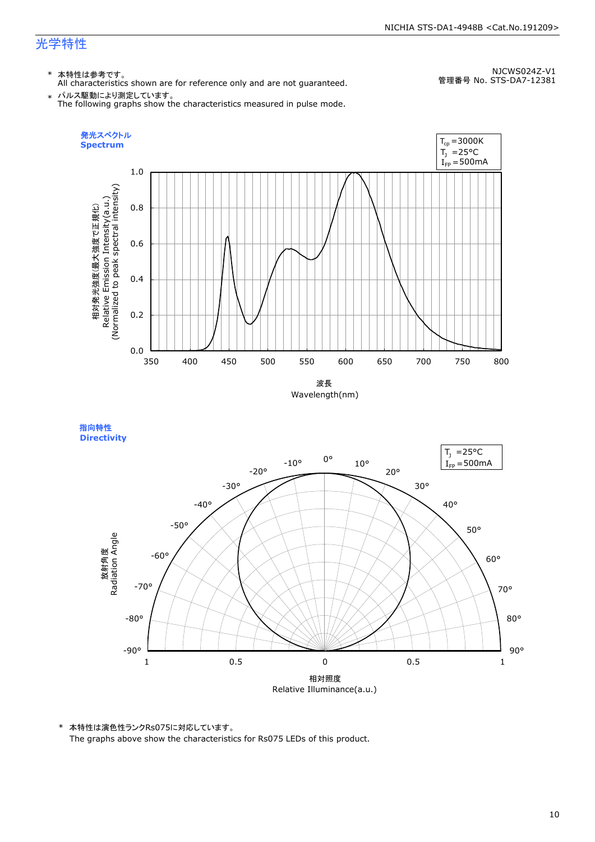## 光学特性

### \* 本特性は参考です。

All characteristics shown are for reference only and are not guaranteed.

NJCWS024Z-V1 管理番号 No. STS-DA7-12381

 $\;* \;$  パルス駆動により測定しています。<br>The following graphs show the characteristics measured in pulse mode.



指向特性 **Directivity** 



\* 本特性は演色性ランクRs075に対応しています。 The graphs above show the characteristics for Rs075 LEDs of this product.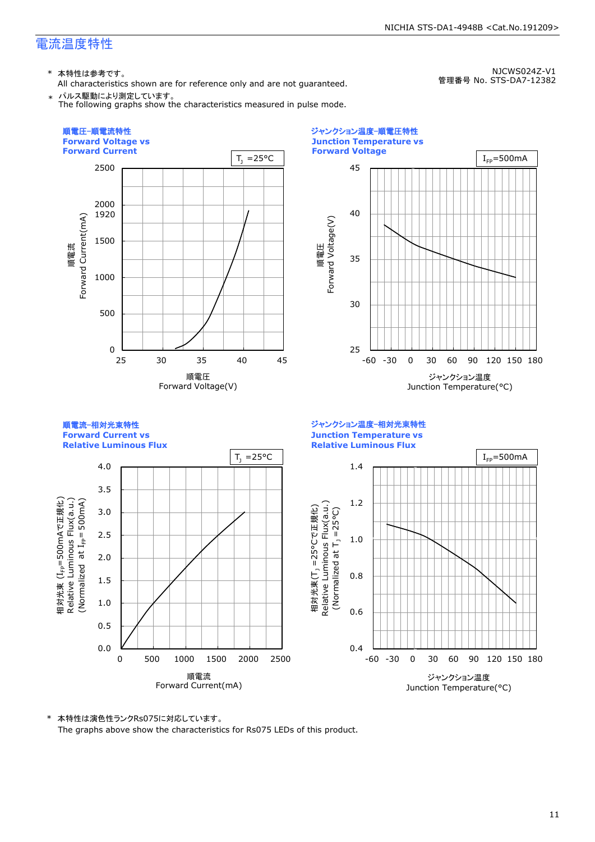### 電流温度特性

\* 本特性は参考です。

All characteristics shown are for reference only and are not guaranteed.

NJCWS024Z-V1 管理番号 No. STS-DA7-12382

\* パルス駆動により測定しています。 The following graphs show the characteristics measured in pulse mode.



25 30 35 40 45 -60 -30 0 30 60 90 120 150 180 **Junction Temperature vs Forward Voltage** 順電圧<br>Forward Voltage(V) Forward Voltage(V) ジャンクション温度 Junction Temperature(°C)  $I_{FP}=500mA$ 

順電流-相対光束特性 **Forward Current vs Relative Luminous Flux** ジャンクション温度-相対光束特性 **Junction Temperature vs Relative Luminous Flux**

ジャンクション温度-順電圧特性



\* 本特性は演色性ランクRs075に対応しています。

The graphs above show the characteristics for Rs075 LEDs of this product.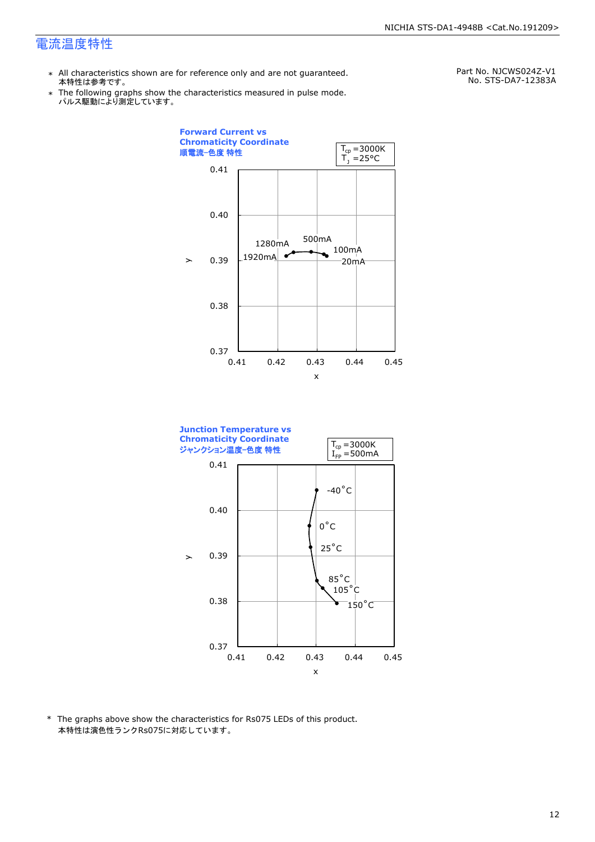### 電流温度特性

- \* All characteristics shown are for reference only and are not guaranteed. 本特性は参考です。
- \* Ine following graphs show th<br>、パルス駆動により測定しています。 The following graphs show the characteristics measured in pulse mode.

Part No. NJCWS024Z-V1 No. STS-DA7-12383A





\* The graphs above show the characteristics for Rs075 LEDs of this product. 本特性は演色性ランクRs075に対応しています。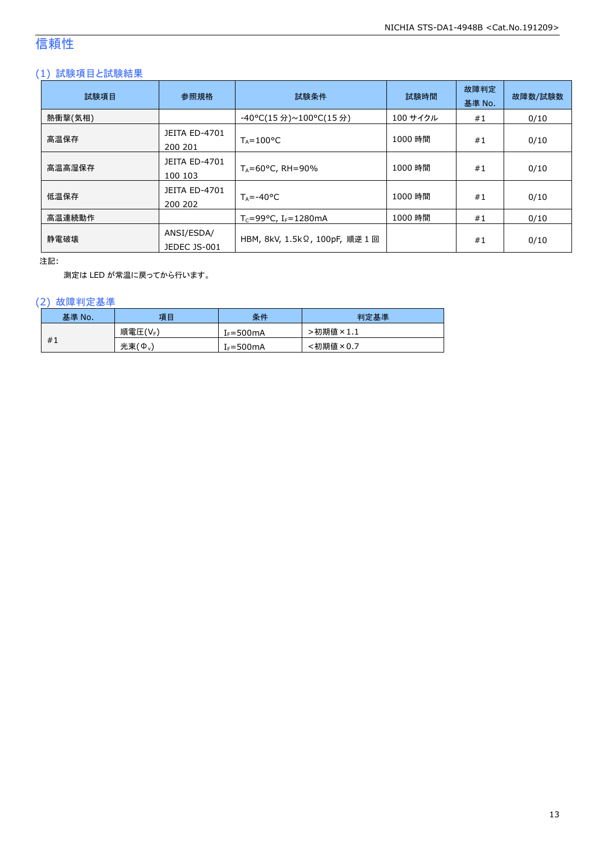# 信頼性

### (1) 試験項目と試験結果

| 試験項目    | 参照規格                            | 試験条件                                  | 試験時間     | 故障判定<br>基準 No. | 故障数/試験数 |
|---------|---------------------------------|---------------------------------------|----------|----------------|---------|
| 熱衝撃(気相) |                                 | -40°C(15 分)~100°C(15 分)               | 100 サイクル | #1             | 0/10    |
| 高温保存    | <b>JEITA ED-4701</b><br>200 201 | $T_A = 100^{\circ}C$                  | 1000 時間  | #1             | 0/10    |
| 高温高湿保存  | JEITA ED-4701<br>100 103        | $T_A = 60^{\circ}$ C, RH = 90%        | 1000 時間  | #1             | 0/10    |
| 低温保存    | JEITA ED-4701<br>200 202        | $T_A = -40$ °C                        | 1000 時間  | #1             | 0/10    |
| 高温連続動作  |                                 | $T_c = 99$ °C, I <sub>F</sub> =1280mA | 1000 時間  | #1             | 0/10    |
| 静電破壊    | ANSI/ESDA/<br>JEDEC JS-001      | HBM, 8kV, 1.5kΩ, 100pF, 順逆 1 回        |          | #1             | 0/10    |

注記:

測定は LED が常温に戻ってから行います。

### (2) 故障判定基準

| 基準 No. | 項目              | 条件                    | 判定基準     |
|--------|-----------------|-----------------------|----------|
|        | 順電圧(VF)         | [ <sub>F</sub> =500mA | 、初期値×1.1 |
| #1     | 光束 $(\Phi_{v})$ | $f_F = 500 \text{mA}$ | :初期値×0.7 |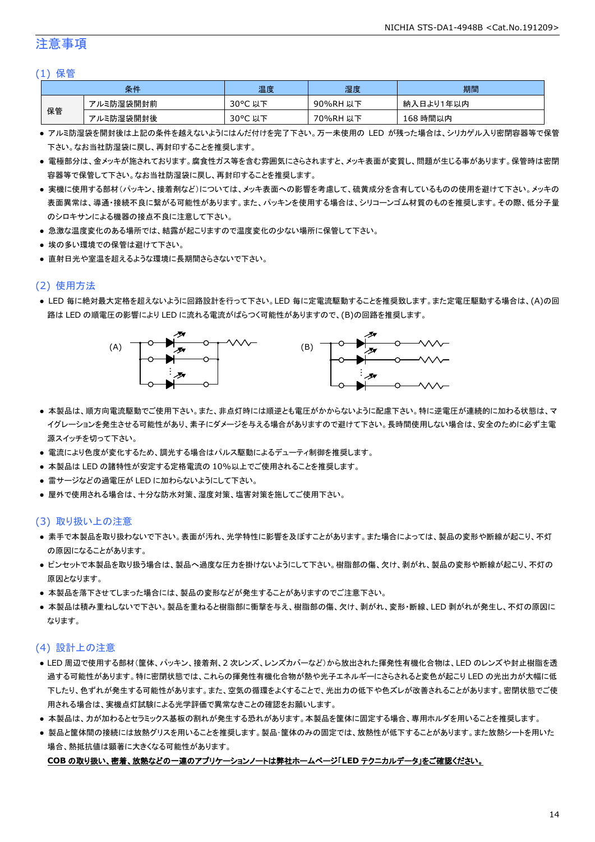### 注意事項

### (1) 保管

|    | 条件        | 温度      | 湿度       | 期間        |
|----|-----------|---------|----------|-----------|
|    | アルミ防湿袋開封前 | 30°C 以下 | 90%RH 以下 | 納入日より1年以内 |
| 保管 | アルミ防湿袋開封後 | 30°C 以下 | 70%RH 以下 | 168 時間以内  |

- アルミ防湿袋を開封後は上記の条件を越えないようにはんだ付けを完了下さい。万一未使用の LED が残った場合は、シリカゲル入り密閉容器等で保管 下さい。なお当社防湿袋に戻し、再封印することを推奨します。
- 電極部分は、金メッキが施されております。腐食性ガス等を含む雰囲気にさらされますと、メッキ表面が変質し、問題が生じる事があります。保管時は密閉 容器等で保管して下さい。なお当社防湿袋に戻し、再封印することを推奨します。
- 実機に使用する部材(パッキン、接着剤など)については、メッキ表面への影響を考慮して、硫黄成分を含有しているものの使用を避けて下さい。メッキの 表面異常は、導通・接続不良に繋がる可能性があります。また、パッキンを使用する場合は、シリコーンゴム材質のものを推奨します。その際、低分子量 のシロキサンによる機器の接点不良に注意して下さい。
- 急激な温度変化のある場所では、結露が起こりますので温度変化の少ない場所に保管して下さい。
- 埃の多い環境での保管は避けて下さい。
- 直射日光や室温を超えるような環境に長期間さらさないで下さい。

### (2) 使用方法

● LED 毎に絶対最大定格を超えないように回路設計を行って下さい。LED 毎に定電流駆動することを推奨致します。また定電圧駆動する場合は、(A)の回 路は LED の順電圧の影響により LED に流れる電流がばらつく可能性がありますので、(B)の回路を推奨します。



- 本製品は、順方向電流駆動でご使用下さい。また、非点灯時には順逆とも電圧がかからないように配慮下さい。特に逆電圧が連続的に加わる状態は、マ イグレーションを発生させる可能性があり、素子にダメージを与える場合がありますので避けて下さい。長時間使用しない場合は、安全のために必ず主電 源スイッチを切って下さい。
- 電流により色度が変化するため、調光する場合はパルス駆動によるデューティ制御を推奨します。
- 本製品は LED の諸特性が安定する定格電流の 10%以上でご使用されることを推奨します。
- 雷サージなどの過電圧が LED に加わらないようにして下さい。
- 屋外で使用される場合は、十分な防水対策、湿度対策、塩害対策を施してご使用下さい。

### (3) 取り扱い上の注意

- 素手で本製品を取り扱わないで下さい。表面が汚れ、光学特性に影響を及ぼすことがあります。また場合によっては、製品の変形や断線が起こり、不灯 の原因になることがあります。
- ピンセットで本製品を取り扱う場合は、製品へ過度な圧力を掛けないようにして下さい。樹脂部の傷、欠け、剥がれ、製品の変形や断線が起こり、不灯の 原因となります。
- 本製品を落下させてしまった場合には、製品の変形などが発生することがありますのでご注意下さい。
- 本製品は積み重ねしないで下さい。製品を重ねると樹脂部に衝撃を与え、樹脂部の傷、欠け、剥がれ、変形・断線、LED 剥がれが発生し、不灯の原因に なります。

### (4) 設計上の注意

- LED 周辺で使用する部材(筐体、パッキン、接着剤、2 次レンズ、レンズカバーなど)から放出された揮発性有機化合物は、LED のレンズや封止樹脂を透 過する可能性があります。特に密閉状態では、これらの揮発性有機化合物が熱や光子エネルギーにさらされると変色が起こり LED の光出力が大幅に低 下したり、色ずれが発生する可能性があります。また、空気の循環をよくすることで、光出力の低下や色ズレが改善されることがあります。密閉状態でご使 用される場合は、実機点灯試験による光学評価で異常なきことの確認をお願いします。
- 本製品は、カが加わるとセラミックス基板の割れが発生する恐れがあります。本製品を筐体に固定する場合、専用ホルダを用いることを推奨します。
- 製品と筐体間の接続には放熱グリスを用いることを推奨します。製品・筐体のみの固定では、放熱性が低下することがあります。また放熱シートを用いた 場合、熱抵抗値は顕著に大きくなる可能性があります。

#### **COB** の取り扱い、密着、放熱などの一連のアプリケーションノートは弊社ホームページ「**LED** テクニカルデータ」をご確認ください。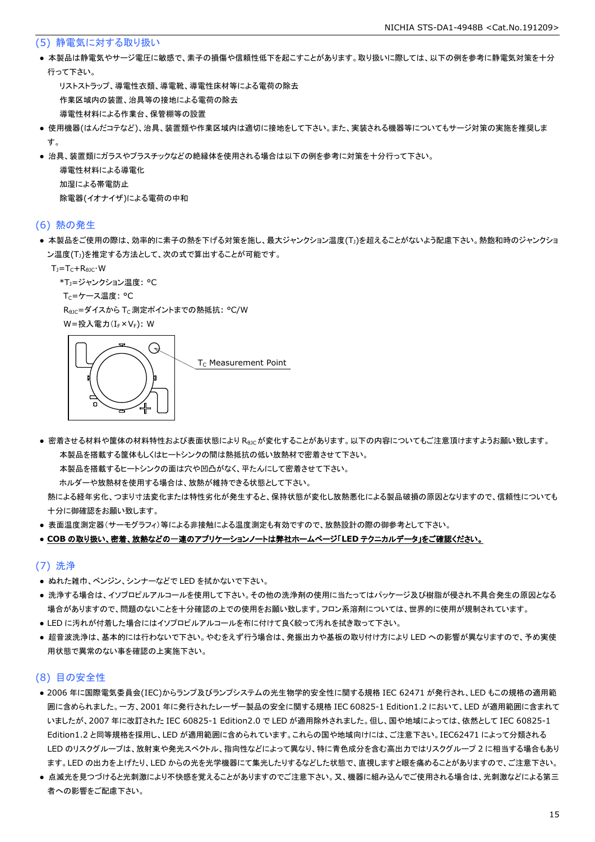### (5) 静電気に対する取り扱い

● 本製品は静電気やサージ電圧に敏感で、素子の損傷や信頼性低下を起こすことがあります。取り扱いに際しては、以下の例を参考に静電気対策を十分 行って下さい。

 リストストラップ、導電性衣類、導電靴、導電性床材等による電荷の除去 作業区域内の装置、治具等の接地による電荷の除去 導電性材料による作業台、保管棚等の設置

- 使用機器(はんだコテなど)、治具、装置類や作業区域内は適切に接地をして下さい。また、実装される機器等についてもサージ対策の実施を推奨しま す。
- 治具、装置類にガラスやプラスチックなどの絶縁体を使用される場合は以下の例を参考に対策を十分行って下さい。

 導電性材料による導電化 加湿による帯電防止 除電器(イオナイザ)による電荷の中和

### (6) 熱の発生

● 本製品をご使用の際は、効率的に素子の熱を下げる対策を施し、最大ジャンクション温度(T」)を超えることがないよう配慮下さい。熱飽和時のジャンクショ ン温度(T」)を推定する方法として、次の式で算出することが可能です。

 $T_J = T_C + R_{\theta JC} \cdot W$ 

\*T<sub>1</sub>=ジャンクション温度: °C

Tc=ケース温度: °C

R<sub>0JC</sub>=ダイスから T<sub>C</sub> 測定ポイントまでの熱抵抗: °C/W

W=投入電力(I<sub>F</sub>×V<sub>F</sub>): W



● 密着させる材料や筐体の材料特性および表面状態により Reicが変化することがあります。以下の内容についてもご注意頂けますようお願い致します。 本製品を搭載する筐体もしくはヒートシンクの間は熱抵抗の低い放熱材で密着させて下さい。

本製品を搭載するヒートシンクの面は穴や凹凸がなく、平たんにして密着させて下さい。

ホルダーや放熱材を使用する場合は、放熱が維持できる状態として下さい。

 熱による経年劣化、つまり寸法変化または特性劣化が発生すると、保持状態が変化し放熱悪化による製品破損の原因となりますので、信頼性についても 十分に御確認をお願い致します。

● 表面温度測定器(サーモグラフィ)等による非接触による温度測定も有効ですので、放熱設計の際の御参考として下さい。

#### ● **COB** の取り扱い、密着、放熱などの一連のアプリケーションノートは弊社ホームページ「**LED** テクニカルデータ」をご確認ください。

### (7) 洗浄

- ぬれた雑巾、ベンジン、シンナーなどで LED を拭かないで下さい。
- 洗浄する場合は、イソプロピルアルコールを使用して下さい。その他の洗浄剤の使用に当たってはパッケージ及び樹脂が侵され不具合発生の原因となる 場合がありますので、問題のないことを十分確認の上での使用をお願い致します。フロン系溶剤については、世界的に使用が規制されています。
- LED に汚れが付着した場合にはイソプロピルアルコールを布に付けて良く絞って汚れを拭き取って下さい。
- 超音波洗浄は、基本的には行わないで下さい。やむをえず行う場合は、発振出力や基板の取り付け方により LED への影響が異なりますので、予め実使 用状態で異常のない事を確認の上実施下さい。

### (8) 目の安全性

- 2006 年に国際電気委員会(IEC)からランプ及びランプシステムの光生物学的安全性に関する規格 IEC 62471 が発行され、LED もこの規格の適用範 囲に含められました。一方、2001 年に発行されたレーザー製品の安全に関する規格 IEC 60825-1 Edition1.2 において、LED が適用範囲に含まれて いましたが、2007 年に改訂された IEC 60825-1 Edition2.0 で LED が適用除外されました。但し、国や地域によっては、依然として IEC 60825-1 Edition1.2 と同等規格を採用し、LED が適用範囲に含められています。これらの国や地域向けには、ご注意下さい。IEC62471 によって分類される LED のリスクグループは、放射束や発光スペクトル、指向性などによって異なり、特に青色成分を含む高出力ではリスクグループ 2 に相当する場合もあり ます。LED の出力を上げたり、LED からの光を光学機器にて集光したりするなどした状態で、直視しますと眼を痛めることがありますので、ご注意下さい。
- 点滅光を見つづけると光刺激により不快感を覚えることがありますのでご注意下さい。又、機器に組み込んでご使用される場合は、光刺激などによる第三 者への影響をご配慮下さい。